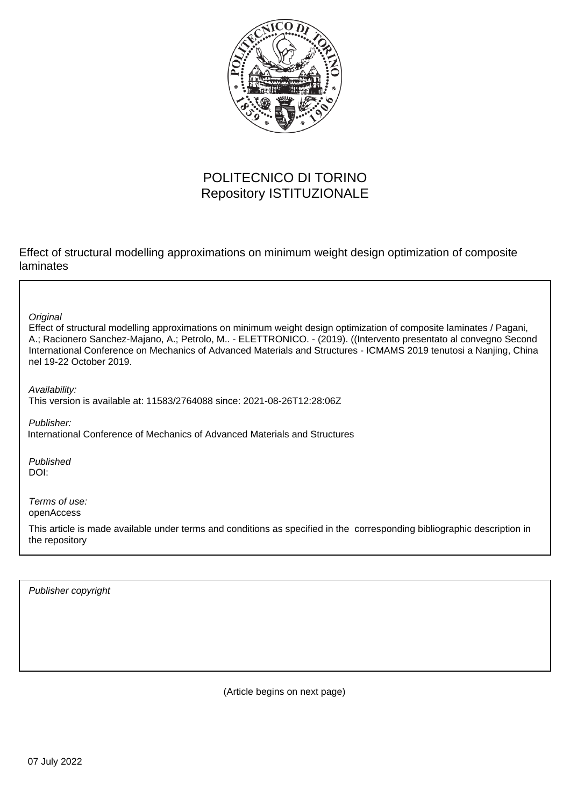

## POLITECNICO DI TORINO Repository ISTITUZIONALE

Effect of structural modelling approximations on minimum weight design optimization of composite laminates

**Original** 

Effect of structural modelling approximations on minimum weight design optimization of composite laminates / Pagani, A.; Racionero Sanchez-Majano, A.; Petrolo, M.. - ELETTRONICO. - (2019). ((Intervento presentato al convegno Second International Conference on Mechanics of Advanced Materials and Structures - ICMAMS 2019 tenutosi a Nanjing, China nel 19-22 October 2019.

Availability: This version is available at: 11583/2764088 since: 2021-08-26T12:28:06Z

Publisher: International Conference of Mechanics of Advanced Materials and Structures

Published DOI:

Terms of use: openAccess

This article is made available under terms and conditions as specified in the corresponding bibliographic description in the repository

Publisher copyright

(Article begins on next page)